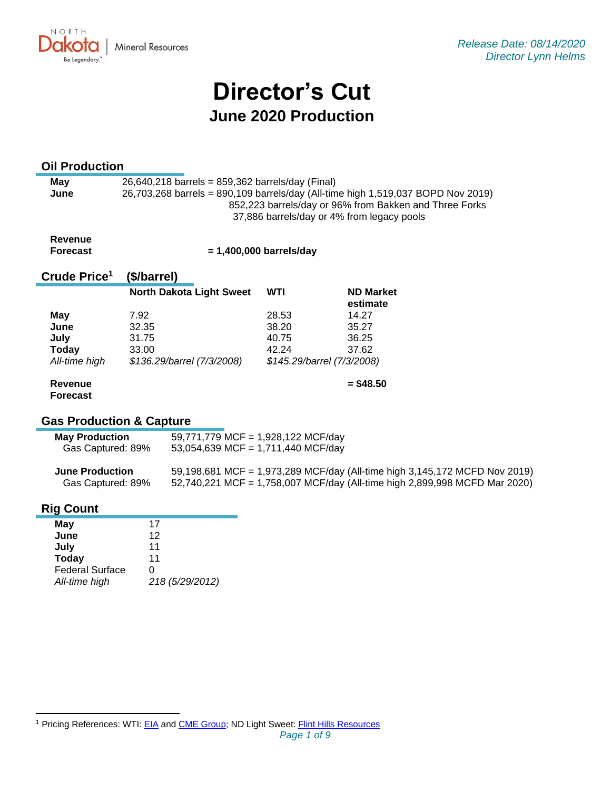

# **Director's Cut June 2020 Production**

# **Oil Production**

| May  | $26,640,218$ barrels = 859,362 barrels/day (Final)                               |  |  |  |  |  |
|------|----------------------------------------------------------------------------------|--|--|--|--|--|
| June | 26,703,268 barrels = 890,109 barrels/day (All-time high 1,519,037 BOPD Nov 2019) |  |  |  |  |  |
|      | 852,223 barrels/day or 96% from Bakken and Three Forks                           |  |  |  |  |  |
|      | 37,886 barrels/day or 4% from legacy pools                                       |  |  |  |  |  |

#### **Revenue Forecast**

 **= 1,400,000 barrels/day**

#### **Crude Price 1 (\$/barrel)**

|               | <b>North Dakota Light Sweet</b> | WTI   | <b>ND Market</b><br>estimate |
|---------------|---------------------------------|-------|------------------------------|
| May           | 7.92                            | 28.53 | 14.27                        |
| June          | 32.35                           | 38.20 | 35.27                        |
| July          | 31.75                           | 40.75 | 36.25                        |
| <b>Today</b>  | 33.00                           | 42.24 | 37.62                        |
| All-time high | \$136.29/barrel (7/3/2008)      |       | \$145.29/barrel (7/3/2008)   |
| Revenue       |                                 |       | $= $48.50$                   |

# **Gas Production & Capture**

| <b>May Production</b> | 59,771,779 MCF = 1,928,122 MCF/day |
|-----------------------|------------------------------------|
| Gas Captured: 89%     | 53,054,639 MCF = 1,711,440 MCF/day |

| <b>June Production</b> | 59,198,681 MCF = 1,973,289 MCF/day (All-time high 3,145,172 MCFD Nov 2019) |
|------------------------|----------------------------------------------------------------------------|
| Gas Captured: 89%      | 52,740,221 MCF = 1,758,007 MCF/day (All-time high 2,899,998 MCFD Mar 2020) |

# **Rig Count**

**Forecast**

| May                    | 17              |
|------------------------|-----------------|
| June                   | 12              |
| July                   | 11              |
| <b>Today</b>           | 11              |
| <b>Federal Surface</b> | 0               |
| All-time high          | 218 (5/29/2012) |

<sup>&</sup>lt;sup>1</sup> Pricing References: WTI: [EIA](https://www.eia.gov/dnav/pet/hist/LeafHandler.ashx?n=PET&s=RCLC1&f=M) and [CME Group;](https://www.cmegroup.com/trading/energy/crude-oil/light-sweet-crude.html) ND Light Sweet: [Flint Hills Resources](https://www.fhr.com/products-services/fuels-and-aromatics)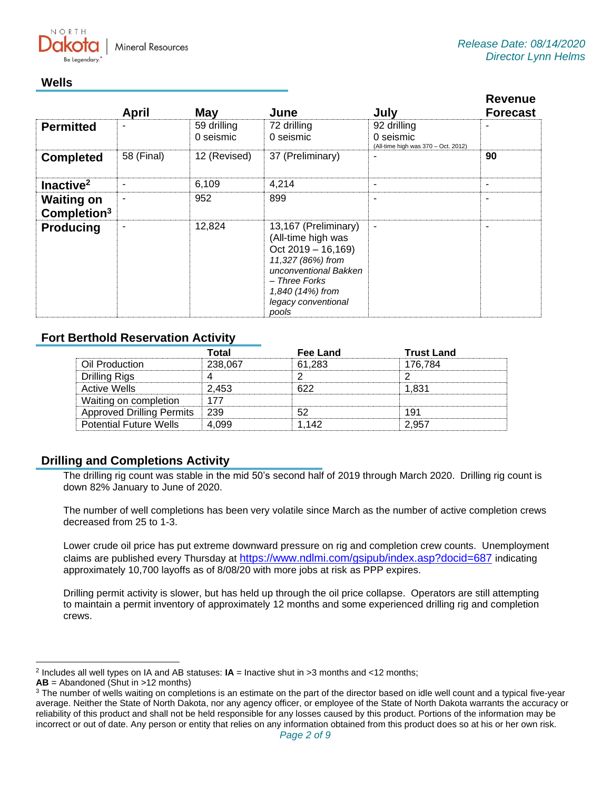NORTH

# **Wells**

|                                              | <b>April</b> | May                      | June                                                                                                                                                                                  | July                                                            | <b>Revenue</b><br><b>Forecast</b> |
|----------------------------------------------|--------------|--------------------------|---------------------------------------------------------------------------------------------------------------------------------------------------------------------------------------|-----------------------------------------------------------------|-----------------------------------|
| <b>Permitted</b>                             | ۰            | 59 drilling<br>0 seismic | 72 drilling<br>0 seismic                                                                                                                                                              | 92 drilling<br>0 seismic<br>(All-time high was 370 - Oct. 2012) |                                   |
| <b>Completed</b>                             | 58 (Final)   | 12 (Revised)             | 37 (Preliminary)                                                                                                                                                                      |                                                                 | 90                                |
| Inactive <sup>2</sup>                        | ۰            | 6,109                    | 4,214                                                                                                                                                                                 | ۰                                                               | ۰                                 |
| <b>Waiting on</b><br>Completion <sup>3</sup> | ۰            | 952                      | 899                                                                                                                                                                                   | ۰                                                               |                                   |
| <b>Producing</b>                             | ۰            | 12,824                   | 13,167 (Preliminary)<br>(All-time high was<br>$Oct 2019 - 16,169)$<br>11,327 (86%) from<br>unconventional Bakken<br>– Three Forks<br>1,840 (14%) from<br>legacy conventional<br>pools | $\blacksquare$                                                  | ۰                                 |

# **Fort Berthold Reservation Activity**

|                                  | Total   | <b>Fee Land</b> | <b>Trust Land</b> |
|----------------------------------|---------|-----------------|-------------------|
| Oil Production                   | 238,067 | 61.283          | 176.784           |
| Drilling Rigs                    |         |                 |                   |
| <b>Active Wells</b>              | 2.453   | ドクク             | 1.831             |
| Waiting on completion            | 177     |                 |                   |
| <b>Approved Drilling Permits</b> | 239     | よつ              | 191               |
| <b>Potential Future Wells</b>    | 4.099   | 1.142           | 2.957             |

# **Drilling and Completions Activity**

The drilling rig count was stable in the mid 50's second half of 2019 through March 2020. Drilling rig count is down 82% January to June of 2020.

The number of well completions has been very volatile since March as the number of active completion crews decreased from 25 to 1-3.

Lower crude oil price has put extreme downward pressure on rig and completion crew counts. Unemployment claims are published every Thursday at <https://www.ndlmi.com/gsipub/index.asp?docid=687> indicating approximately 10,700 layoffs as of 8/08/20 with more jobs at risk as PPP expires.

Drilling permit activity is slower, but has held up through the oil price collapse. Operators are still attempting to maintain a permit inventory of approximately 12 months and some experienced drilling rig and completion crews.

<sup>2</sup> Includes all well types on IA and AB statuses: **IA** = Inactive shut in >3 months and <12 months;

**AB** = Abandoned (Shut in >12 months)

<sup>&</sup>lt;sup>3</sup> The number of wells waiting on completions is an estimate on the part of the director based on idle well count and a typical five-year average. Neither the State of North Dakota, nor any agency officer, or employee of the State of North Dakota warrants the accuracy or reliability of this product and shall not be held responsible for any losses caused by this product. Portions of the information may be incorrect or out of date. Any person or entity that relies on any information obtained from this product does so at his or her own risk.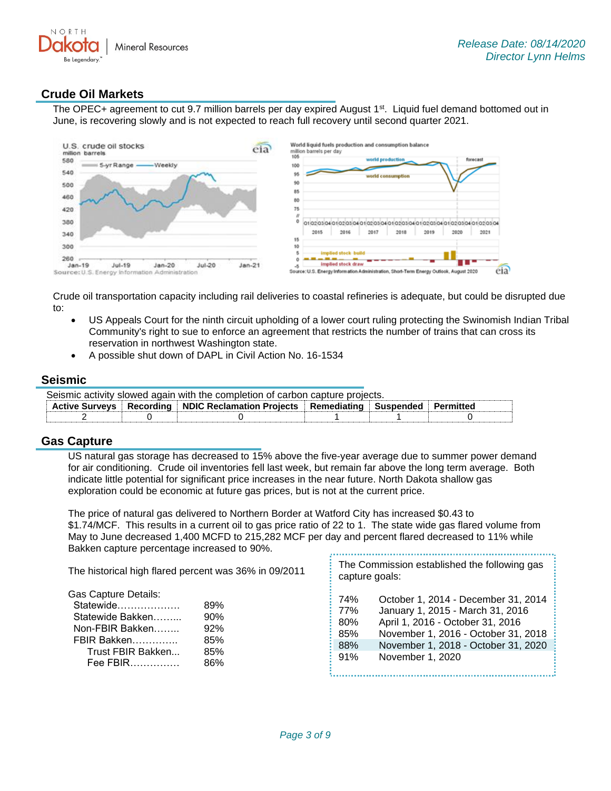

# **Crude Oil Markets**

The OPEC+ agreement to cut 9.7 million barrels per day expired August 1<sup>st</sup>. Liquid fuel demand bottomed out in June, is recovering slowly and is not expected to reach full recovery until second quarter 2021.



Crude oil transportation capacity including rail deliveries to coastal refineries is adequate, but could be disrupted due to:

- US Appeals Court for the ninth circuit upholding of a lower court ruling protecting the Swinomish Indian Tribal Community's right to sue to enforce an agreement that restricts the number of trains that can cross its reservation in northwest Washington state.
- A possible shut down of DAPL in Civil Action No. 16-1534

### **Seismic**

| Seismic activity slowed again with the completion of carbon capture projects. |  |                                                                                              |  |  |  |
|-------------------------------------------------------------------------------|--|----------------------------------------------------------------------------------------------|--|--|--|
|                                                                               |  | Active Surveys   Recording   NDIC Reclamation Projects   Remediating   Suspended   Permitted |  |  |  |
|                                                                               |  |                                                                                              |  |  |  |

### **Gas Capture**

US natural gas storage has decreased to 15% above the five-year average due to summer power demand for air conditioning. Crude oil inventories fell last week, but remain far above the long term average. Both indicate little potential for significant price increases in the near future. North Dakota shallow gas exploration could be economic at future gas prices, but is not at the current price.

The price of natural gas delivered to Northern Border at Watford City has increased \$0.43 to \$1.74/MCF. This results in a current oil to gas price ratio of 22 to 1. The state wide gas flared volume from May to June decreased 1,400 MCFD to 215,282 MCF per day and percent flared decreased to 11% while Bakken capture percentage increased to 90%. 

| The historical high flared percent was 36% in 09/2011<br>capture goals:                                                                                                                                        |                                                                                                                                                                                                               |
|----------------------------------------------------------------------------------------------------------------------------------------------------------------------------------------------------------------|---------------------------------------------------------------------------------------------------------------------------------------------------------------------------------------------------------------|
| Gas Capture Details:<br>74%<br>Statewide<br>89%<br>77%<br>90%<br>Statewide Bakken<br>80%<br>92%<br>Non-FBIR Bakken<br>85%<br>FBIR Bakken<br>85%<br>88%<br>85%<br>Trust FBIR Bakken<br>91%<br>$Fee$ FBIR<br>86% | October 1, 2014 - December 31, 2014<br>January 1, 2015 - March 31, 2016<br>April 1, 2016 - October 31, 2016<br>November 1, 2016 - October 31, 2018<br>November 1, 2018 - October 31, 2020<br>November 1, 2020 |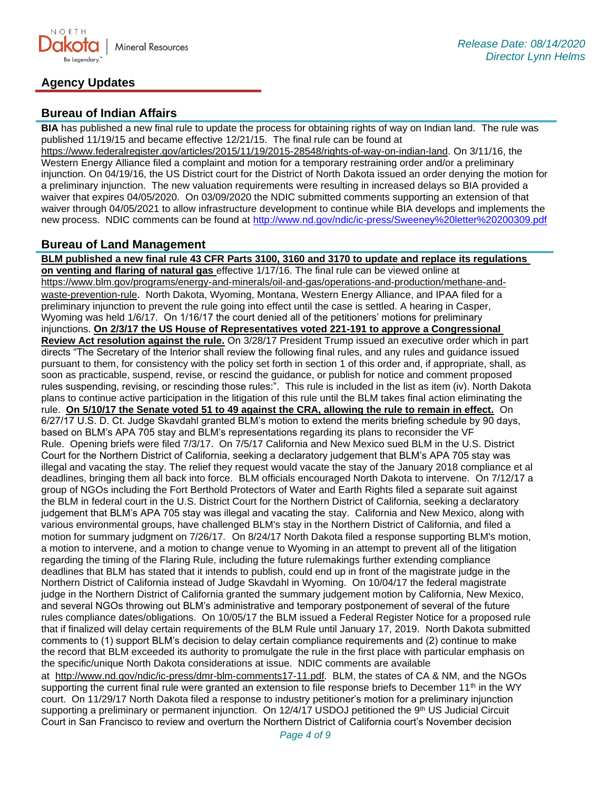

# **Agency Updates**

# **Bureau of Indian Affairs**

**BIA** has published a new final rule to update the process for obtaining rights of way on Indian land. The rule was published 11/19/15 and became effective 12/21/15. The final rule can be found at

[https://www.federalregister.gov/articles/2015/11/19/2015-28548/rights-of-way-on-indian-land.](https://www.federalregister.gov/articles/2015/11/19/2015-28548/rights-of-way-on-indian-land) On 3/11/16, the Western Energy Alliance filed a complaint and motion for a temporary restraining order and/or a preliminary injunction. On 04/19/16, the US District court for the District of North Dakota issued an order denying the motion for a preliminary injunction. The new valuation requirements were resulting in increased delays so BIA provided a waiver that expires 04/05/2020. On 03/09/2020 the NDIC submitted comments supporting an extension of that waiver through 04/05/2021 to allow infrastructure development to continue while BIA develops and implements the new process. NDIC comments can be found at<http://www.nd.gov/ndic/ic-press/Sweeney%20letter%20200309.pdf>

## **Bureau of Land Management**

**BLM published a new final rule 43 CFR Parts 3100, 3160 and 3170 to update and replace its regulations on venting and flaring of natural gas** effective 1/17/16. The final rule can be viewed online at [https://www.blm.gov/programs/energy-and-minerals/oil-and-gas/operations-and-production/methane-and](https://www.blm.gov/programs/energy-and-minerals/oil-and-gas/operations-and-production/methane-and-waste-prevention-rule)[waste-prevention-rule](https://www.blm.gov/programs/energy-and-minerals/oil-and-gas/operations-and-production/methane-and-waste-prevention-rule). North Dakota, Wyoming, Montana, Western Energy Alliance, and IPAA filed for a preliminary injunction to prevent the rule going into effect until the case is settled. A hearing in Casper, Wyoming was held 1/6/17. On 1/16/17 the court denied all of the petitioners' motions for preliminary injunctions. **On 2/3/17 the US House of Representatives voted 221-191 to approve a Congressional Review Act resolution against the rule.** On 3/28/17 President Trump issued an executive order which in part directs "The Secretary of the Interior shall review the following final rules, and any rules and guidance issued pursuant to them, for consistency with the policy set forth in section 1 of this order and, if appropriate, shall, as soon as practicable, suspend, revise, or rescind the guidance, or publish for notice and comment proposed rules suspending, revising, or rescinding those rules:". This rule is included in the list as item (iv). North Dakota plans to continue active participation in the litigation of this rule until the BLM takes final action eliminating the rule. **On 5/10/17 the Senate voted 51 to 49 against the CRA, allowing the rule to remain in effect.** On 6/27/17 U.S. D. Ct. Judge Skavdahl granted BLM's motion to extend the merits briefing schedule by 90 days, based on BLM's APA 705 stay and BLM's representations regarding its plans to reconsider the VF Rule. Opening briefs were filed 7/3/17. On 7/5/17 California and New Mexico sued BLM in the U.S. District Court for the Northern District of California, seeking a declaratory judgement that BLM's APA 705 stay was illegal and vacating the stay. The relief they request would vacate the stay of the January 2018 compliance et al deadlines, bringing them all back into force. BLM officials encouraged North Dakota to intervene. On 7/12/17 a group of NGOs including the Fort Berthold Protectors of Water and Earth Rights filed a separate suit against the BLM in federal court in the U.S. District Court for the Northern District of California, seeking a declaratory judgement that BLM's APA 705 stay was illegal and vacating the stay. California and New Mexico, along with various environmental groups, have challenged BLM's stay in the Northern District of California, and filed a motion for summary judgment on 7/26/17. On 8/24/17 North Dakota filed a response supporting BLM's motion, a motion to intervene, and a motion to change venue to Wyoming in an attempt to prevent all of the litigation regarding the timing of the Flaring Rule, including the future rulemakings further extending compliance deadlines that BLM has stated that it intends to publish, could end up in front of the magistrate judge in the Northern District of California instead of Judge Skavdahl in Wyoming. On 10/04/17 the federal magistrate judge in the Northern District of California granted the summary judgement motion by California, New Mexico, and several NGOs throwing out BLM's administrative and temporary postponement of several of the future rules compliance dates/obligations. On 10/05/17 the BLM issued a Federal Register Notice for a proposed rule that if finalized will delay certain requirements of the BLM Rule until January 17, 2019. North Dakota submitted comments to (1) support BLM's decision to delay certain compliance requirements and (2) continue to make the record that BLM exceeded its authority to promulgate the rule in the first place with particular emphasis on the specific/unique North Dakota considerations at issue. NDIC comments are available at [http://www.nd.gov/ndic/ic-press/dmr-blm-comments17-11.pdf.](http://www.nd.gov/ndic/ic-press/dmr-blm-comments17-11.pdf) BLM, the states of CA & NM, and the NGOs supporting the current final rule were granted an extension to file response briefs to December 11<sup>th</sup> in the WY court. On 11/29/17 North Dakota filed a response to industry petitioner's motion for a preliminary injunction

supporting a preliminary or permanent injunction. On 12/4/17 USDOJ petitioned the 9th US Judicial Circuit Court in San Francisco to review and overturn the Northern District of California court's November decision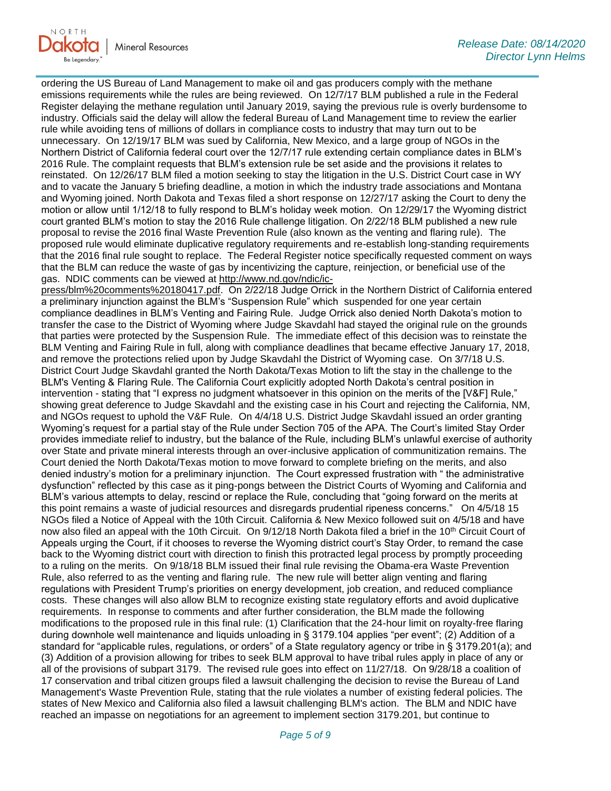

ordering the US Bureau of Land Management to make oil and gas producers comply with the methane emissions requirements while the rules are being reviewed. On 12/7/17 BLM published a rule in the Federal Register delaying the methane regulation until January 2019, saying the previous rule is overly burdensome to industry. Officials said the delay will allow the federal Bureau of Land Management time to review the earlier rule while avoiding tens of millions of dollars in compliance costs to industry that may turn out to be unnecessary. On 12/19/17 BLM was sued by California, New Mexico, and a large group of NGOs in the Northern District of California federal court over the 12/7/17 rule extending certain compliance dates in BLM's 2016 Rule. The complaint requests that BLM's extension rule be set aside and the provisions it relates to reinstated. On 12/26/17 BLM filed a motion seeking to stay the litigation in the U.S. District Court case in WY and to vacate the January 5 briefing deadline, a motion in which the industry trade associations and Montana and Wyoming joined. North Dakota and Texas filed a short response on 12/27/17 asking the Court to deny the motion or allow until 1/12/18 to fully respond to BLM's holiday week motion. On 12/29/17 the Wyoming district court granted BLM's motion to stay the 2016 Rule challenge litigation. On 2/22/18 BLM published a new rule proposal to revise the 2016 final Waste Prevention Rule (also known as the venting and flaring rule). The proposed rule would eliminate duplicative regulatory requirements and re-establish long-standing requirements that the 2016 final rule sought to replace. The Federal Register notice specifically requested comment on ways that the BLM can reduce the waste of gas by incentivizing the capture, reinjection, or beneficial use of the gas. NDIC comments can be viewed at [http://www.nd.gov/ndic/ic-](http://www.nd.gov/ndic/ic-press/blm%20comments%20180417.pdf)

[press/blm%20comments%20180417.pdf.](http://www.nd.gov/ndic/ic-press/blm%20comments%20180417.pdf) On 2/22/18 Judge Orrick in the Northern District of California entered a preliminary injunction against the BLM's "Suspension Rule" which suspended for one year certain compliance deadlines in BLM's Venting and Fairing Rule. Judge Orrick also denied North Dakota's motion to transfer the case to the District of Wyoming where Judge Skavdahl had stayed the original rule on the grounds that parties were protected by the Suspension Rule. The immediate effect of this decision was to reinstate the BLM Venting and Fairing Rule in full, along with compliance deadlines that became effective January 17, 2018, and remove the protections relied upon by Judge Skavdahl the District of Wyoming case. On 3/7/18 U.S. District Court Judge Skavdahl granted the North Dakota/Texas Motion to lift the stay in the challenge to the BLM's Venting & Flaring Rule. The California Court explicitly adopted North Dakota's central position in intervention - stating that "I express no judgment whatsoever in this opinion on the merits of the [V&F] Rule," showing great deference to Judge Skavdahl and the existing case in his Court and rejecting the California, NM, and NGOs request to uphold the V&F Rule. On 4/4/18 U.S. District Judge Skavdahl issued an order granting Wyoming's request for a partial stay of the Rule under Section 705 of the APA. The Court's limited Stay Order provides immediate relief to industry, but the balance of the Rule, including BLM's unlawful exercise of authority over State and private mineral interests through an over-inclusive application of communitization remains. The Court denied the North Dakota/Texas motion to move forward to complete briefing on the merits, and also denied industry's motion for a preliminary injunction. The Court expressed frustration with " the administrative dysfunction" reflected by this case as it ping-pongs between the District Courts of Wyoming and California and BLM's various attempts to delay, rescind or replace the Rule, concluding that "going forward on the merits at this point remains a waste of judicial resources and disregards prudential ripeness concerns." On 4/5/18 15 NGOs filed a Notice of Appeal with the 10th Circuit. California & New Mexico followed suit on 4/5/18 and have now also filed an appeal with the 10th Circuit. On 9/12/18 North Dakota filed a brief in the 10<sup>th</sup> Circuit Court of Appeals urging the Court, if it chooses to reverse the Wyoming district court's Stay Order, to remand the case back to the Wyoming district court with direction to finish this protracted legal process by promptly proceeding to a ruling on the merits. On 9/18/18 BLM issued their final rule revising the Obama-era Waste Prevention Rule, also referred to as the venting and flaring rule. The new rule will better align venting and flaring regulations with President Trump's priorities on energy development, job creation, and reduced compliance costs. These changes will also allow BLM to recognize existing state regulatory efforts and avoid duplicative requirements. In response to comments and after further consideration, the BLM made the following modifications to the proposed rule in this final rule: (1) Clarification that the 24-hour limit on royalty-free flaring during downhole well maintenance and liquids unloading in § 3179.104 applies "per event"; (2) Addition of a standard for "applicable rules, regulations, or orders" of a State regulatory agency or tribe in § 3179.201(a); and (3) Addition of a provision allowing for tribes to seek BLM approval to have tribal rules apply in place of any or all of the provisions of subpart 3179. The revised rule goes into effect on 11/27/18. On 9/28/18 a coalition of 17 conservation and tribal citizen groups filed a lawsuit challenging the decision to revise the Bureau of Land Management's Waste Prevention Rule, stating that the rule violates a number of existing federal policies. The states of New Mexico and California also filed a lawsuit challenging BLM's action. The BLM and NDIC have reached an impasse on negotiations for an agreement to implement section 3179.201, but continue to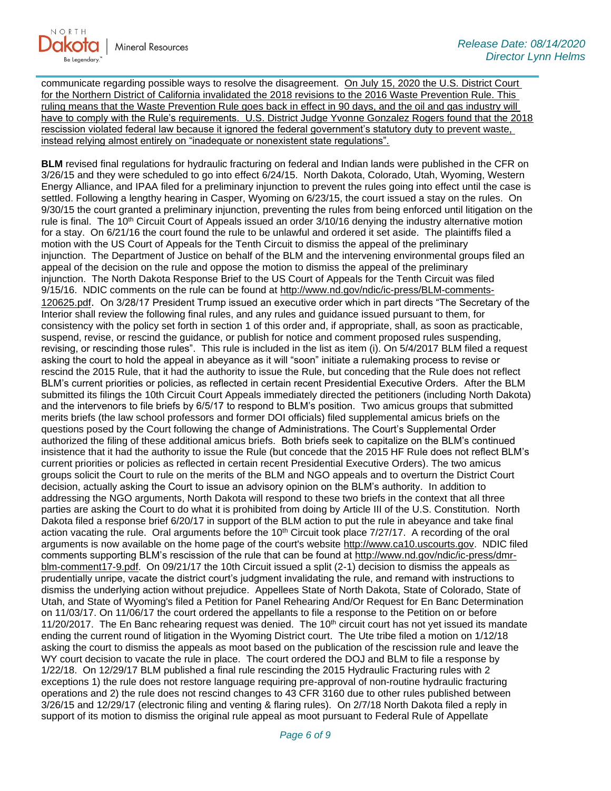communicate regarding possible ways to resolve the disagreement. On July 15, 2020 the U.S. District Court for the Northern District of California invalidated the 2018 revisions to the 2016 Waste Prevention Rule. This ruling means that the Waste Prevention Rule goes back in effect in 90 days, and the oil and gas industry will have to comply with the Rule's requirements. U.S. District Judge Yvonne Gonzalez Rogers found that the 2018 rescission violated federal law because it ignored the federal government's statutory duty to prevent waste, instead relying almost entirely on "inadequate or nonexistent state regulations".

**BLM** revised final regulations for hydraulic fracturing on federal and Indian lands were published in the CFR on 3/26/15 and they were scheduled to go into effect 6/24/15. North Dakota, Colorado, Utah, Wyoming, Western Energy Alliance, and IPAA filed for a preliminary injunction to prevent the rules going into effect until the case is settled. Following a lengthy hearing in Casper, Wyoming on 6/23/15, the court issued a stay on the rules. On 9/30/15 the court granted a preliminary injunction, preventing the rules from being enforced until litigation on the rule is final. The 10<sup>th</sup> Circuit Court of Appeals issued an order 3/10/16 denying the industry alternative motion for a stay. On 6/21/16 the court found the rule to be unlawful and ordered it set aside. The plaintiffs filed a motion with the US Court of Appeals for the Tenth Circuit to dismiss the appeal of the preliminary injunction. The Department of Justice on behalf of the BLM and the intervening environmental groups filed an appeal of the decision on the rule and oppose the motion to dismiss the appeal of the preliminary injunction. The North Dakota Response Brief to the US Court of Appeals for the Tenth Circuit was filed 9/15/16. NDIC comments on the rule can be found at [http://www.nd.gov/ndic/ic-press/BLM-comments-](http://www.nd.gov/ndic/ic-press/BLM-comments-120625.pdf)[120625.pdf](http://www.nd.gov/ndic/ic-press/BLM-comments-120625.pdf). On 3/28/17 President Trump issued an executive order which in part directs "The Secretary of the Interior shall review the following final rules, and any rules and guidance issued pursuant to them, for consistency with the policy set forth in section 1 of this order and, if appropriate, shall, as soon as practicable, suspend, revise, or rescind the guidance, or publish for notice and comment proposed rules suspending, revising, or rescinding those rules". This rule is included in the list as item (i). On 5/4/2017 BLM filed a request asking the court to hold the appeal in abeyance as it will "soon" initiate a rulemaking process to revise or rescind the 2015 Rule, that it had the authority to issue the Rule, but conceding that the Rule does not reflect BLM's current priorities or policies, as reflected in certain recent Presidential Executive Orders. After the BLM submitted its filings the 10th Circuit Court Appeals immediately directed the petitioners (including North Dakota) and the intervenors to file briefs by 6/5/17 to respond to BLM's position. Two amicus groups that submitted merits briefs (the law school professors and former DOI officials) filed supplemental amicus briefs on the questions posed by the Court following the change of Administrations. The Court's Supplemental Order authorized the filing of these additional amicus briefs. Both briefs seek to capitalize on the BLM's continued insistence that it had the authority to issue the Rule (but concede that the 2015 HF Rule does not reflect BLM's current priorities or policies as reflected in certain recent Presidential Executive Orders). The two amicus groups solicit the Court to rule on the merits of the BLM and NGO appeals and to overturn the District Court decision, actually asking the Court to issue an advisory opinion on the BLM's authority. In addition to addressing the NGO arguments, North Dakota will respond to these two briefs in the context that all three parties are asking the Court to do what it is prohibited from doing by Article III of the U.S. Constitution. North Dakota filed a response brief 6/20/17 in support of the BLM action to put the rule in abeyance and take final action vacating the rule. Oral arguments before the 10<sup>th</sup> Circuit took place 7/27/17. A recording of the oral arguments is now available on the home page of the court's website [http://www.ca10.uscourts.gov.](https://urldefense.proofpoint.com/v2/url?u=http-3A__www.ca10.uscourts.gov&d=DwMGaQ&c=2s2mvbfY0UoSKkl6_Ol9wg&r=-wqsZnBxny594KY8HeElow&m=Ul_VtJUX6iW5pvHjCcBxUWtskC0F4Dhry3sPtcEHvCw&s=laRHiLDv5w8otcQWQjpn82WMieoB2AZ-Q4M1LFQPL5s&e=) NDIC filed comments supporting BLM's rescission of the rule that can be found at [http://www.nd.gov/ndic/ic-press/dmr](http://www.nd.gov/ndic/ic-press/dmr-blm-comment17-9.pdf)[blm-comment17-9.pdf.](http://www.nd.gov/ndic/ic-press/dmr-blm-comment17-9.pdf) On 09/21/17 the 10th Circuit issued a split (2-1) decision to dismiss the appeals as prudentially unripe, vacate the district court's judgment invalidating the rule, and remand with instructions to dismiss the underlying action without prejudice. Appellees State of North Dakota, State of Colorado, State of Utah, and State of Wyoming's filed a Petition for Panel Rehearing And/Or Request for En Banc Determination on 11/03/17. On 11/06/17 the court ordered the appellants to file a response to the Petition on or before 11/20/2017. The En Banc rehearing request was denied. The  $10<sup>th</sup>$  circuit court has not yet issued its mandate ending the current round of litigation in the Wyoming District court. The Ute tribe filed a motion on 1/12/18 asking the court to dismiss the appeals as moot based on the publication of the rescission rule and leave the WY court decision to vacate the rule in place. The court ordered the DOJ and BLM to file a response by 1/22/18. On 12/29/17 BLM published a final rule rescinding the 2015 Hydraulic Fracturing rules with 2 exceptions 1) the rule does not restore language requiring pre-approval of non-routine hydraulic fracturing operations and 2) the rule does not rescind changes to 43 CFR 3160 due to other rules published between 3/26/15 and 12/29/17 (electronic filing and venting & flaring rules). On 2/7/18 North Dakota filed a reply in support of its motion to dismiss the original rule appeal as moot pursuant to Federal Rule of Appellate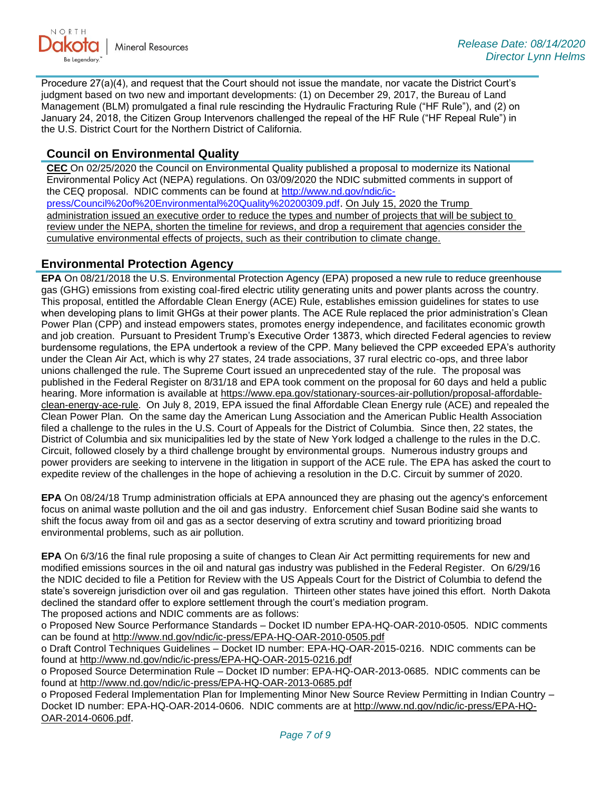

Procedure 27(a)(4), and request that the Court should not issue the mandate, nor vacate the District Court's judgment based on two new and important developments: (1) on December 29, 2017, the Bureau of Land Management (BLM) promulgated a final rule rescinding the Hydraulic Fracturing Rule ("HF Rule"), and (2) on January 24, 2018, the Citizen Group Intervenors challenged the repeal of the HF Rule ("HF Repeal Rule") in the U.S. District Court for the Northern District of California.

# **Council on Environmental Quality**

**CEC** On 02/25/2020 the Council on Environmental Quality published a proposal to modernize its National Environmental Policy Act (NEPA) regulations. On 03/09/2020 the NDIC submitted comments in support of the CEQ proposal. NDIC comments can be found at [http://www.nd.gov/ndic/ic](http://www.nd.gov/ndic/ic-press/Council%20of%20Environmental%20Quality%20200309.pdf)[press/Council%20of%20Environmental%20Quality%20200309.pdf](http://www.nd.gov/ndic/ic-press/Council%20of%20Environmental%20Quality%20200309.pdf). On July 15, 2020 the Trump administration issued an executive order to reduce the types and number of projects that will be subject to review under the NEPA, shorten the timeline for reviews, and drop a requirement that agencies consider the cumulative environmental effects of projects, such as their contribution to climate change.

## **Environmental Protection Agency**

**EPA** On 08/21/2018 the U.S. Environmental Protection Agency (EPA) proposed a new rule to reduce greenhouse gas (GHG) emissions from existing coal-fired electric utility generating units and power plants across the country. This proposal, entitled the Affordable Clean Energy (ACE) Rule, establishes emission guidelines for states to use when developing plans to limit GHGs at their power plants. The ACE Rule replaced the prior administration's Clean Power Plan (CPP) and instead empowers states, promotes energy independence, and facilitates economic growth and job creation. Pursuant to President Trump's Executive Order 13873, which directed Federal agencies to review burdensome regulations, the EPA undertook a review of the CPP. Many believed the CPP exceeded EPA's authority under the Clean Air Act, which is why 27 states, 24 trade associations, 37 rural electric co-ops, and three labor unions challenged the rule. The Supreme Court issued an unprecedented stay of the rule. The proposal was published in the Federal Register on 8/31/18 and EPA took comment on the proposal for 60 days and held a public hearing. More information is available at [https://www.epa.gov/stationary-sources-air-pollution/proposal-affordable](https://www.epa.gov/stationary-sources-air-pollution/proposal-affordable-clean-energy-ace-rule)[clean-energy-ace-rule.](https://www.epa.gov/stationary-sources-air-pollution/proposal-affordable-clean-energy-ace-rule) On July 8, 2019, EPA issued the final Affordable Clean Energy rule (ACE) and repealed the Clean Power Plan. On the same day the American Lung Association and the American Public Health Association filed a challenge to the rules in the U.S. Court of Appeals for the District of Columbia. Since then, 22 states, the District of Columbia and six municipalities led by the state of New York lodged a challenge to the rules in the D.C. Circuit, followed closely by a third challenge brought by environmental groups. Numerous industry groups and power providers are seeking to intervene in the litigation in support of the ACE rule. The EPA has asked the court to expedite review of the challenges in the hope of achieving a resolution in the D.C. Circuit by summer of 2020.

**EPA** On 08/24/18 Trump administration officials at EPA announced they are phasing out the agency's enforcement focus on animal waste pollution and the oil and gas industry. Enforcement chief Susan Bodine said she wants to shift the focus away from oil and gas as a sector deserving of extra scrutiny and toward prioritizing broad environmental problems, such as air pollution.

**EPA** On 6/3/16 the final rule proposing a suite of changes to Clean Air Act permitting requirements for new and modified emissions sources in the oil and natural gas industry was published in the Federal Register. On 6/29/16 the NDIC decided to file a Petition for Review with the US Appeals Court for the District of Columbia to defend the state's sovereign jurisdiction over oil and gas regulation. Thirteen other states have joined this effort. North Dakota declined the standard offer to explore settlement through the court's mediation program. The proposed actions and NDIC comments are as follows:

o Proposed New Source Performance Standards – Docket ID number EPA-HQ-OAR-2010-0505. NDIC comments can be found at<http://www.nd.gov/ndic/ic-press/EPA-HQ-OAR-2010-0505.pdf>

o Draft Control Techniques Guidelines – Docket ID number: EPA-HQ-OAR-2015-0216. NDIC comments can be found at<http://www.nd.gov/ndic/ic-press/EPA-HQ-OAR-2015-0216.pdf>

o Proposed Source Determination Rule – Docket ID number: EPA-HQ-OAR-2013-0685. NDIC comments can be found at<http://www.nd.gov/ndic/ic-press/EPA-HQ-OAR-2013-0685.pdf>

o Proposed Federal Implementation Plan for Implementing Minor New Source Review Permitting in Indian Country – Docket ID number: EPA-HQ-OAR-2014-0606. NDIC comments are at [http://www.nd.gov/ndic/ic-press/EPA-HQ-](http://www.nd.gov/ndic/ic-press/EPA-HQ-OAR-2014-0606.pdf)[OAR-2014-0606.pdf](http://www.nd.gov/ndic/ic-press/EPA-HQ-OAR-2014-0606.pdf).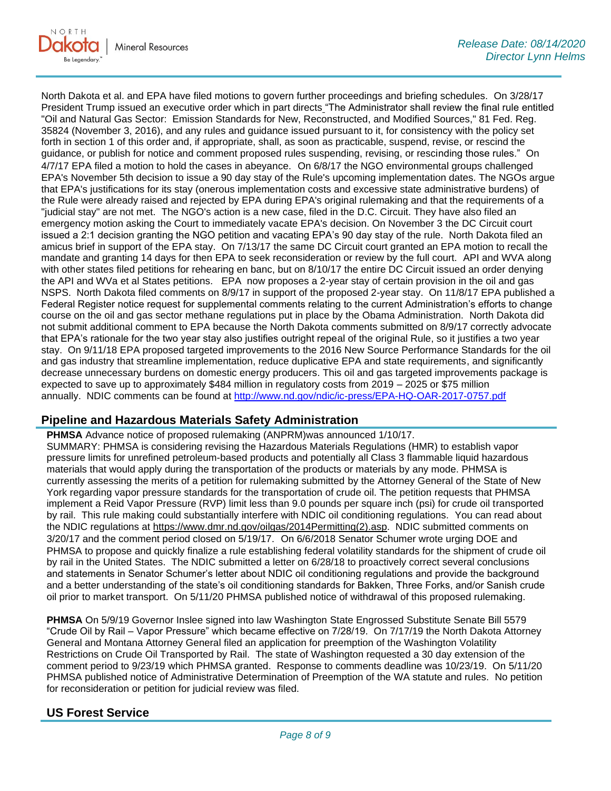North Dakota et al. and EPA have filed motions to govern further proceedings and briefing schedules. On 3/28/17 President Trump issued an executive order which in part directs "The Administrator shall review the final rule entitled "Oil and Natural Gas Sector: Emission Standards for New, Reconstructed, and Modified Sources," 81 Fed. Reg. 35824 (November 3, 2016), and any rules and guidance issued pursuant to it, for consistency with the policy set forth in section 1 of this order and, if appropriate, shall, as soon as practicable, suspend, revise, or rescind the guidance, or publish for notice and comment proposed rules suspending, revising, or rescinding those rules." On 4/7/17 EPA filed a motion to hold the cases in abeyance. On 6/8/17 the NGO environmental groups challenged EPA's November 5th decision to issue a 90 day stay of the Rule's upcoming implementation dates. The NGOs argue that EPA's justifications for its stay (onerous implementation costs and excessive state administrative burdens) of the Rule were already raised and rejected by EPA during EPA's original rulemaking and that the requirements of a "judicial stay" are not met. The NGO's action is a new case, filed in the D.C. Circuit. They have also filed an emergency motion asking the Court to immediately vacate EPA's decision. On November 3 the DC Circuit court issued a 2:1 decision granting the NGO petition and vacating EPA's 90 day stay of the rule. North Dakota filed an amicus brief in support of the EPA stay. On 7/13/17 the same DC Circuit court granted an EPA motion to recall the mandate and granting 14 days for then EPA to seek reconsideration or review by the full court. API and WVA along with other states filed petitions for rehearing en banc, but on 8/10/17 the entire DC Circuit issued an order denying the API and WVa et al States petitions. EPA now proposes a 2-year stay of certain provision in the oil and gas NSPS. North Dakota filed comments on 8/9/17 in support of the proposed 2-year stay. On 11/8/17 EPA published a Federal Register notice request for supplemental comments relating to the current Administration's efforts to change course on the oil and gas sector methane regulations put in place by the Obama Administration. North Dakota did not submit additional comment to EPA because the North Dakota comments submitted on 8/9/17 correctly advocate that EPA's rationale for the two year stay also justifies outright repeal of the original Rule, so it justifies a two year stay. On 9/11/18 EPA proposed targeted improvements to the 2016 New Source Performance Standards for the oil and gas industry that streamline implementation, reduce duplicative EPA and state requirements, and significantly decrease unnecessary burdens on domestic energy producers. This oil and gas targeted improvements package is expected to save up to approximately \$484 million in regulatory costs from 2019 – 2025 or \$75 million annually. NDIC comments can be found at<http://www.nd.gov/ndic/ic-press/EPA-HQ-OAR-2017-0757.pdf>

# **Pipeline and Hazardous Materials Safety Administration**

**PHMSA** Advance notice of proposed rulemaking (ANPRM)was announced 1/10/17. SUMMARY: PHMSA is considering revising the Hazardous Materials Regulations (HMR) to establish vapor pressure limits for unrefined petroleum-based products and potentially all Class 3 flammable liquid hazardous materials that would apply during the transportation of the products or materials by any mode. PHMSA is currently assessing the merits of a petition for rulemaking submitted by the Attorney General of the State of New York regarding vapor pressure standards for the transportation of crude oil. The petition requests that PHMSA implement a Reid Vapor Pressure (RVP) limit less than 9.0 pounds per square inch (psi) for crude oil transported by rail. This rule making could substantially interfere with NDIC oil conditioning regulations. You can read about the NDIC regulations at [https://www.dmr.nd.gov/oilgas/2014Permitting\(2\).asp.](https://www.dmr.nd.gov/oilgas/2014Permitting(2).asp) NDIC submitted comments on 3/20/17 and the comment period closed on 5/19/17. On 6/6/2018 Senator Schumer wrote urging DOE and PHMSA to propose and quickly finalize a rule establishing federal volatility standards for the shipment of crude oil by rail in the United States. The NDIC submitted a letter on 6/28/18 to proactively correct several conclusions and statements in Senator Schumer's letter about NDIC oil conditioning regulations and provide the background and a better understanding of the state's oil conditioning standards for Bakken, Three Forks, and/or Sanish crude oil prior to market transport. On 5/11/20 PHMSA published notice of withdrawal of this proposed rulemaking.

**PHMSA** On 5/9/19 Governor Inslee signed into law Washington State Engrossed Substitute Senate Bill 5579 "Crude Oil by Rail – Vapor Pressure" which became effective on 7/28/19. On 7/17/19 the North Dakota Attorney General and Montana Attorney General filed an application for preemption of the Washington Volatility Restrictions on Crude Oil Transported by Rail. The state of Washington requested a 30 day extension of the comment period to 9/23/19 which PHMSA granted. Response to comments deadline was 10/23/19. On 5/11/20 PHMSA published notice of Administrative Determination of Preemption of the WA statute and rules. No petition for reconsideration or petition for judicial review was filed.

# **US Forest Service**